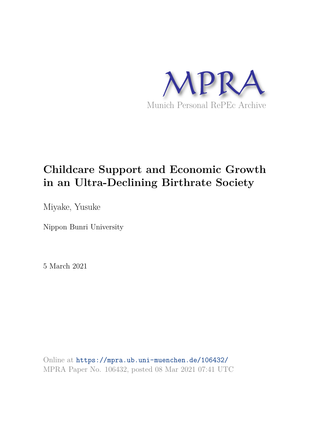

# **Childcare Support and Economic Growth in an Ultra-Declining Birthrate Society**

Miyake, Yusuke

Nippon Bunri University

5 March 2021

Online at https://mpra.ub.uni-muenchen.de/106432/ MPRA Paper No. 106432, posted 08 Mar 2021 07:41 UTC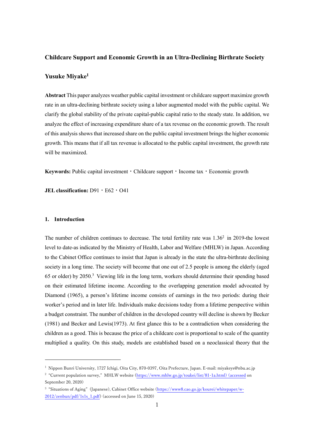#### **Childcare Support and Economic Growth in an Ultra-Declining Birthrate Society**

### **Yusuke Miyake<sup>1</sup>**

**Abstract** This paper analyzes weather public capital investment or childcare support maximize growth rate in an ultra-declining birthrate society using a labor augmented model with the public capital. We clarify the global stability of the private capital-public capital ratio to the steady state. In addition, we analyze the effect of increasing expenditure share of a tax revenue on the economic growth. The result of this analysis shows that increased share on the public capital investment brings the higher economic growth. This means that if all tax revenue is allocated to the public capital investment, the growth rate will be maximized.

Keywords: Public capital investment • Childcare support • Income tax • Economic growth

**JEL classification:** D91・E62・O41

#### **1. Introduction**

-

The number of children continues to decrease. The total fertility rate was  $1.36<sup>2</sup>$  in 2019-the lowest level to date-as indicated by the Ministry of Health, Labor and Welfare (MHLW) in Japan. According to the Cabinet Office continues to insist that Japan is already in the state the ultra-birthrate declining society in a long time. The society will become that one out of 2.5 people is among the elderly (aged 65 or older) by 2050.<sup>3</sup> Viewing life in the long term, workers should determine their spending based on their estimated lifetime income. According to the overlapping generation model advocated by Diamond (1965), a person's lifetime income consists of earnings in the two periods: during their worker's period and in later life. Individuals make decisions today from a lifetime perspective within a budget constraint. The number of children in the developed country will decline is shown by Becker (1981) and Becker and Lewis(1973). At first glance this to be a contradiction when considering the children as a good. This is because the price of a childcare cost is proportional to scale of the quantity multiplied a quality. On this study, models are established based on a neoclassical theory that the

<sup>1</sup> Nippon Bunri University, 1727 Ichigi, Oita City, 870-0397, Oita Prefecture, Japan. E-mail: miyakeys@nbu.ac.jp

<sup>2</sup> "Current population survey," MHLW website [\(https://www.mhlw.go.jp/toukei/list/81-1a.html\) \(accessed](https://www.mhlw.go.jp/toukei/list/81-1a.html)%20(accessed) on September 20, 2020)

<sup>3</sup> "Situations of Aging" (Japanese), Cabinet Office website [\(https://www8.cao.go.jp/kourei/whitepaper/w-](https://www8.cao.go.jp/kourei/whitepaper/w-2012/zenbun/pdf/1s1s_1.pdf)[2012/zenbun/pdf/1s1s\\_1.pdf\)](https://www8.cao.go.jp/kourei/whitepaper/w-2012/zenbun/pdf/1s1s_1.pdf) (accessed on June 15, 2020)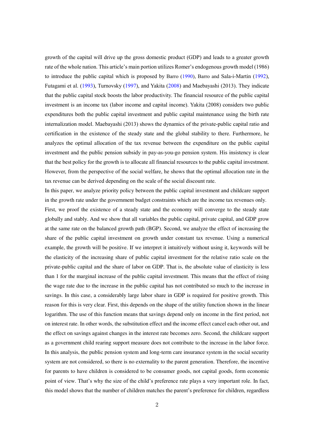growth of the capital will drive up the gross domestic product (GDP) and leads to a greater growth rate of the whole nation. This article's main portion utilizes Romer's endogenous growth model (1986) to introduce the public capital which is proposed by Barro (1990), Barro and Sala-i-Martin (1992), Futagami et al. (1993), Turnovsky (1997), and Yakita (2008) and Maebayashi (2013). They indicate that the public capital stock boosts the labor productivity. The financial resource of the public capital investment is an income tax (labor income and capital income). Yakita (2008) considers two public expenditures both the public capital investment and public capital maintenance using the birth rate internalization model. Maebayashi (2013) shows the dynamics of the private-public capital ratio and certification in the existence of the steady state and the global stability to there. Furthermore, he analyzes the optimal allocation of the tax revenue between the expenditure on the public capital investment and the public pension subsidy in pay-as-you-go pension system. His insistency is clear that the best policy for the growth is to allocate all financial resources to the public capital investment. However, from the perspective of the social welfare, he shows that the optimal allocation rate in the tax revenue can be derived depending on the scale of the social discount rate.

In this paper, we analyze priority policy between the public capital investment and childcare support in the growth rate under the government budget constraints which are the income tax revenues only.

First, we proof the existence of a steady state and the economy will converge to the steady state globally and stably. And we show that all variables the public capital, private capital, and GDP grow at the same rate on the balanced growth path (BGP). Second, we analyze the effect of increasing the share of the public capital investment on growth under constant tax revenue. Using a numerical example, the growth will be positive. If we interpret it intuitively without using it, keywords will be the elasticity of the increasing share of public capital investment for the relative ratio scale on the private-public capital and the share of labor on GDP. That is, the absolute value of elasticity is less than 1 for the marginal increase of the public capital investment. This means that the effect of rising the wage rate due to the increase in the public capital has not contributed so much to the increase in savings. In this case, a considerably large labor share in GDP is required for positive growth. This reason for this is very clear. First, this depends on the shape of the utility function shown in the linear logarithm. The use of this function means that savings depend only on income in the first period, not on interest rate. In other words, the substitution effect and the income effect cancel each other out, and the effect on savings against changes in the interest rate becomes zero. Second, the childcare support as a government child rearing support measure does not contribute to the increase in the labor force. In this analysis, the public pension system and long-term care insurance system in the social security system are not considered, so there is no externality to the parent generation. Therefore, the incentive for parents to have children is considered to be consumer goods, not capital goods, form economic point of view. That's why the size of the child's preference rate plays a very important role. In fact, this model shows that the number of children matches the parent's preference for children, regardless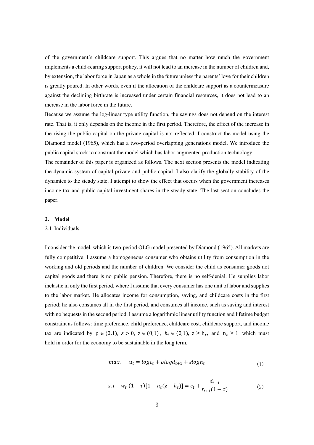of the government's childcare support. This argues that no matter how much the government implements a child-rearing support policy, it will not lead to an increase in the number of children and, by extension, the labor force in Japan as a whole in the future unless the parents' love for their children is greatly poured. In other words, even if the allocation of the childcare support as a countermeasure against the declining birthrate is increased under certain financial resources, it does not lead to an increase in the labor force in the future.

Because we assume the log-linear type utility function, the savings does not depend on the interest rate. That is, it only depends on the income in the first period. Therefore, the effect of the increase in the rising the public capital on the private capital is not reflected. I construct the model using the Diamond model (1965), which has a two-period overlapping generations model. We introduce the public capital stock to construct the model which has labor augmented production technology.

The remainder of this paper is organized as follows. The next section presents the model indicating the dynamic system of capital-private and public capital. I also clarify the globally stability of the dynamics to the steady state. I attempt to show the effect that occurs when the government increases income tax and public capital investment shares in the steady state. The last section concludes the paper.

#### **2. Model**

#### 2.1 Individuals

I consider the model, which is two-period OLG model presented by Diamond (1965). All markets are fully competitive. I assume a homogeneous consumer who obtains utility from consumption in the working and old periods and the number of children. We consider the child as consumer goods not capital goods and there is no public pension. Therefore, there is no self-denial. He supplies labor inelastic in only the first period, where I assume that every consumer has one unit of labor and supplies to the labor market. He allocates income for consumption, saving, and childcare costs in the first period; he also consumes all in the first period, and consumes all income, such as saving and interest with no bequests in the second period. I assume a logarithmic linear utility function and lifetime budget constraint as follows: time preference, child preference, childcare cost, childcare support, and income tax are indicated by  $\rho \in (0,1)$ ,  $\varepsilon > 0$ ,  $z \in (0,1)$ ,  $h_t \in (0,1)$ ,  $z \ge h_t$ , and  $n_t \ge 1$  which must hold in order for the economy to be sustainable in the long term.

$$
max. \t u_t = logc_t + plogd_{t+1} + \varepsilon logn_t \t\t(1)
$$

s.t 
$$
w_t (1 - \tau) [1 - n_t (z - h_t)] = c_t + \frac{d_{t+1}}{r_{t+1} (1 - \tau)}
$$
 (2)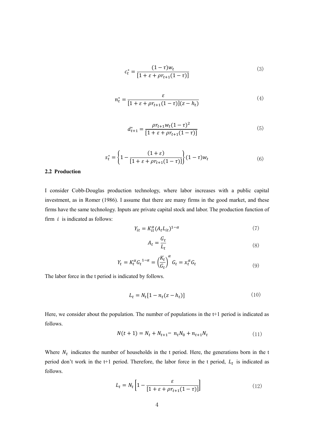$$
c_t^* = \frac{(1 - \tau)w_t}{[1 + \varepsilon + \rho r_{t+1}(1 - \tau)]}
$$
\n(3)

$$
n_t^* = \frac{\varepsilon}{[1 + \varepsilon + \rho r_{t+1}(1-\tau)](z-h_t)}
$$
(4)

$$
d_{t+1}^* = \frac{\rho r_{t+1} w_t (1-\tau)^2}{[1+\varepsilon + \rho r_{t+1} (1-\tau)]}
$$
(5)

$$
s_t^* = \left\{ 1 - \frac{(1+\varepsilon)}{[1+\varepsilon + \rho r_{t+1}(1-\tau)]} \right\} (1-\tau) w_t \tag{6}
$$

#### **2.2 Production**

I consider Cobb-Douglas production technology, where labor increases with a public capital investment, as in Romer (1986). I assume that there are many firms in the good market, and these firms have the same technology. Inputs are private capital stock and labor. The production function of firm  $i$  is indicated as follows:

$$
Y_{it} = K_{it}^{\alpha} (A_t L_{it})^{1-\alpha} \tag{7}
$$

$$
A_t = \frac{G_t}{L_t} \tag{8}
$$

$$
Y_t = K_t^{\alpha} G_t^{1-\alpha} = \left(\frac{K_t}{G_t}\right)^{\alpha} G_t = x_t^{\alpha} G_t \tag{9}
$$

The labor force in the t period is indicated by follows.

$$
L_t = N_t [1 - n_t (z - h_t)] \tag{10}
$$

Here, we consider about the population. The number of populations in the t+1 period is indicated as follows.

$$
N(t+1) = N_t + N_{t+1} = n_t N_0 + n_{t+1} N_t
$$
\n(11)

Where  $N_t$  indicates the number of households in the t period. Here, the generations born in the t period don't work in the  $t+1$  period. Therefore, the labor force in the t period,  $L_t$  is indicated as follows.

$$
L_t = N_t \left[ 1 - \frac{\varepsilon}{\left[ 1 + \varepsilon + \rho r_{t+1} (1 - \tau) \right]} \right] \tag{12}
$$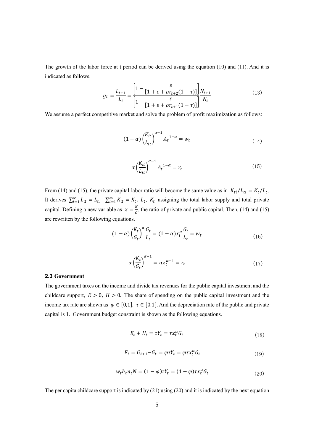The growth of the labor force at t period can be derived using the equation (10) and (11). And it is indicated as follows.

$$
g_L = \frac{L_{t+1}}{L_t} = \frac{\left[1 - \frac{\varepsilon}{[1 + \varepsilon + \rho r_{t+2}(1 - \tau)]}\right] N_{t+1}}{\left[1 - \frac{\varepsilon}{[1 + \varepsilon + \rho r_{t+1}(1 - \tau)]}\right] N_t}
$$
(13)

We assume a perfect competitive market and solve the problem of profit maximization as follows:

$$
(1 - \alpha) \left(\frac{K_{it}}{L_{it}}\right)^{\alpha - 1} A_t^{1 - \alpha} = w_t \tag{14}
$$

$$
\alpha \left(\frac{K_{it}}{L_{it}}\right)^{\alpha - 1} A_t^{1 - \alpha} = r_t \tag{15}
$$

From (14) and (15), the private capital-labor ratio will become the same value as in  $K_{ti}/L_{ti} = K_t/L_t$ . It derives  $\sum_{i=1}^{\infty} L_{it} = L_t$ ,  $\sum_{i=1}^{\infty} K_{it} = K_t$ .  $L_t$ ,  $K_t$  assigning the total labor supply and total private capital. Defining a new variable as  $x = \frac{R}{G}$  $\frac{\pi}{6}$ , the ratio of private and public capital. Then, (14) and (15) are rewritten by the following equations.

$$
(1 - \alpha) \left(\frac{K_t}{G_t}\right)^{\alpha} \frac{G_t}{L_t} = (1 - \alpha) x_t^{\alpha} \frac{G_t}{L_t} = w_t
$$
\n(16)

$$
\alpha \left(\frac{K_t}{G_t}\right)^{\alpha - 1} = \alpha x_t^{\alpha - 1} = r_t \tag{17}
$$

#### **2.3 Government**

The government taxes on the income and divide tax revenues for the public capital investment and the childcare support,  $E > 0$ ,  $H > 0$ . The share of spending on the public capital investment and the income tax rate are shown as  $\varphi \in [0,1]$ ,  $\tau \in [0,1]$ . And the depreciation rate of the public and private capital is 1. Government budget constraint is shown as the following equations.

$$
E_t + H_t = \tau Y_t = \tau x_t^{\alpha} G_t \tag{18}
$$

$$
E_t = G_{t+1} - G_t = \varphi \tau Y_t = \varphi \tau x_t^{\alpha} G_t \tag{19}
$$

$$
w_t h_t n_t N = (1 - \varphi) \tau Y_t = (1 - \varphi) \tau x_t^{\alpha} G_t
$$
\n<sup>(20)</sup>

The per capita childcare support is indicated by (21) using (20) and it is indicated by the next equation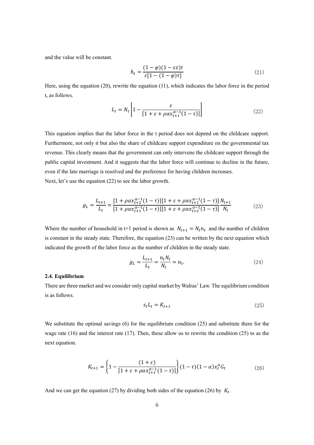and the value will be constant.

$$
h_t = \frac{(1 - \varphi)(1 - \varepsilon z)\tau}{\varepsilon [1 - (1 - \varphi)\tau]}
$$
\n(21)

Here, using the equation (20), rewrite the equation (11), which indicates the labor force in the period t, as follows.

$$
L_t = N_t \left[ 1 - \frac{\varepsilon}{\left[ 1 + \varepsilon + \rho \alpha x_{t+1}^{\alpha - 1} (1 - \tau) \right]} \right]
$$
 (22)

This equation implies that the labor force in the t period does not depend on the childcare support. Furthermore, not only it but also the share of childcare support expenditure on the governmental tax revenue. This clearly means that the government can only intervene the childcare support through the public capital investment. And it suggests that the labor force will continue to decline in the future, even if the late marriage is resolved and the preference for having children increases. Next, let's use the equation (22) to see the labor growth.

$$
g_L = \frac{L_{t+1}}{L_t} = \frac{[1 + \rho \alpha x_{t+2}^{\alpha - 1} (1 - \tau)][1 + \varepsilon + \rho \alpha x_{t+1}^{\alpha - 1} (1 - \tau)] N_{t+1}}{[1 + \rho \alpha x_{t+1}^{\alpha - 1} (1 - \tau)][1 + \varepsilon + \rho \alpha x_{t+2}^{\alpha - 1} (1 - \tau)] N_t}
$$
(23)

Where the number of household in t+1 period is shown as  $N_{t+1} = N_t n_t$  and the number of children is constant in the steady state. Therefore, the equation (23) can be written by the next equation which indicated the growth of the labor force as the number of children in the steady state.

$$
g_L = \frac{L_{t+1}}{L_t} = \frac{n_t N_t}{N_t} = n_t.
$$
 (24)

#### **2.4. Equilibrium**

There are three market and we consider only capital market by Walras' Law. The equilibrium condition is as follows.

$$
s_t L_t = K_{t+1} \tag{25}
$$

We substitute the optimal savings (6) for the equilibrium condition (25) and substitute there for the wage rate (16) and the interest rate (17). Then, these allow us to rewrite the condition (25) to as the next equation.

$$
K_{t+1} = \left\{ 1 - \frac{(1+\varepsilon)}{[1+\varepsilon + \rho \alpha x_{t+1}^{\alpha-1}(1-\tau)]} \right\} (1-\tau)(1-\alpha) x_t^{\alpha} G_t \tag{26}
$$

And we can get the equation (27) by dividing both sides of the equation (26) by  $K_t$ .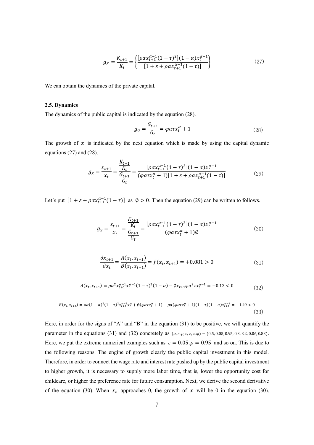$$
g_K = \frac{K_{t+1}}{K_t} = \left\{ \frac{[\rho \alpha x_{t+1}^{\alpha - 1} (1 - \tau)^2](1 - \alpha) x_t^{\alpha - 1}}{[1 + \varepsilon + \rho \alpha x_{t+1}^{\alpha - 1} (1 - \tau)]} \right\}
$$
(27)

We can obtain the dynamics of the private capital.

#### **2.5. Dynamics**

The dynamics of the public capital is indicated by the equation (28).

$$
g_G = \frac{G_{t+1}}{G_t} = \varphi \alpha \tau x_t^{\alpha} + 1 \tag{28}
$$

The growth of  $x$  is indicated by the next equation which is made by using the capital dynamic equations (27) and (28).

$$
g_x = \frac{x_{t+1}}{x_t} = \frac{\frac{K_{t+1}}{K_t}}{\frac{G_{t+1}}{G_t}} = \frac{[\rho \alpha x_{t+1}^{\alpha - 1} (1 - \tau)^2](1 - \alpha) x_t^{\alpha - 1}}{(\varphi \alpha \tau x_t^{\alpha} + 1)[1 + \varepsilon + \rho \alpha x_{t+1}^{\alpha - 1} (1 - \tau)]}
$$
(29)

Let's put  $[1 + \varepsilon + \rho \alpha x_{t+1}^{\alpha-1}(1-\tau)]$  as  $\emptyset > 0$ . Then the equation (29) can be written to follows.

$$
g_x = \frac{x_{t+1}}{x_t} = \frac{\frac{K_{t+1}}{K_t}}{\frac{G_{t+1}}{G_t}} = \frac{[\rho \alpha x_{t+1}^{\alpha - 1} (1 - \tau)^2](1 - \alpha) x_t^{\alpha - 1}}{(\varphi \alpha \tau x_t^{\alpha} + 1)\emptyset}
$$
(30)

$$
\frac{\partial x_{t+1}}{\partial x_t} = \frac{A(x_t, x_{t+1})}{B(x_t, x_{t+1})} = f(x_t, x_{t+1}) = +0.081 > 0
$$
\n(31)

$$
A(x_t, x_{t+1}) = \rho \alpha^2 x_{t+1}^{\alpha-1} x_t^{\alpha-1} (1-\tau)^2 (1-\alpha) - \varphi x_{t+1} \varphi \alpha^2 \tau x_t^{\alpha-1} = -0.12 < 0 \tag{32}
$$

$$
B(x_t, x_{t+1}) = \rho \alpha (1 - \alpha)^2 (1 - \tau)^2 x_{t+1}^{\alpha - 2} x_t^{\alpha} + \phi(\varphi \alpha \tau x_t^{\alpha} + 1) - \rho \alpha(\varphi \alpha \tau x_t^{\alpha} + 1)(1 - \tau)(1 - \alpha) x_{t+1}^{\alpha - 1} = -1.49 < 0
$$
\n(33)

Here, in order for the signs of "A" and "B" in the equation (31) to be positive, we will quantify the parameter in the equations (31) and (32) concretely as  $(a, \varepsilon, \rho, \tau, x, z, \varphi) = (0.5, 0.05, 0.95, 0.3, 3.2, 0.06, 0.83).$ Here, we put the extreme numerical examples such as  $\varepsilon = 0.05$ ,  $\rho = 0.95$  and so on. This is due to the following reasons. The engine of growth clearly the public capital investment in this model. Therefore, in order to connect the wage rate and interest rate pushed up by the public capital investment to higher growth, it is necessary to supply more labor time, that is, lower the opportunity cost for childcare, or higher the preference rate for future consumption. Next, we derive the second derivative of the equation (30). When  $x_t$  approaches 0, the growth of x will be 0 in the equation (30).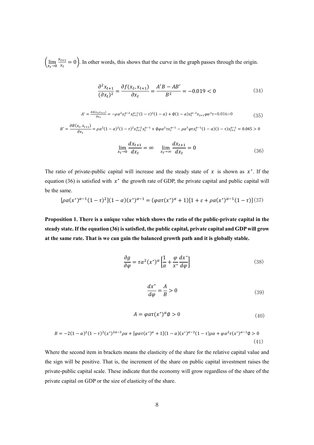$\lim_{x_t \to 0} \frac{x_{t+1}}{x_t}$  $\frac{t+1}{x_t} = 0$ . In other words, this shows that the curve in the graph passes through the origin.

$$
\frac{\partial^2 x_{t+1}}{(\partial x_t)^2} = \frac{\partial f(x_t, x_{t+1})}{\partial x_t} = \frac{A'B - AB'}{B^2} = -0.019 < 0 \tag{34}
$$

$$
A' = \frac{\partial A(x_t x_{t+1})}{\partial x_t} = -\rho \alpha^2 x_t^{\alpha-2} x_{t+1}^{\alpha-1} (1-\tau)^2 (1-\alpha) + \phi (1-\alpha) x_t^{\alpha-2} x_{t+1} \varphi \alpha^2 \tau = 0.016 > 0
$$
\n(35)

$$
B' = \frac{\partial B(x_t, x_{t+1})}{\partial x_t} = \rho \alpha^2 (1 - \alpha)^2 (1 - \tau)^2 x_{t+1}^{\alpha - 2} x_t^{\alpha - 1} + \phi \rho \alpha^2 \tau x_t^{\alpha - 1} - \rho \alpha^3 \varphi \tau x_t^{\alpha - 1} (1 - \alpha)(1 - \tau) x_{t+1}^{\alpha - 1} = 0.045 > 0
$$

$$
\lim_{x_t \to 0} \frac{dx_{t+1}}{dx_t} = \infty \quad \lim_{x_t \to \infty} \frac{dx_{t+1}}{dx_t} = 0 \tag{36}
$$

The ratio of private-public capital will increase and the steady state of  $x$  is shown as  $x^*$ . If the equation (36) is satisfied with  $x^*$  the growth rate of GDP, the private capital and public capital will be the same.

$$
[\rho a(x^*)^{\alpha-1}(1-\tau)^2](1-\alpha)(x^*)^{\alpha-1} = (\varphi a\tau(x^*)^{\alpha}+1)[1+\varepsilon+\rho a(x^*)^{\alpha-1}(1-\tau)]^{(37)}
$$

**Proposition 1. There is a unique value which shows the ratio of the public-private capital in the steady state. If the equation (36) is satisfied, the public capital, private capital and GDP will grow at the same rate. That is we can gain the balanced growth path and it is globally stable.**

$$
\frac{\partial g}{\partial \varphi} = \tau \alpha^2 (x^*)^{\alpha} \left[ \frac{1}{\alpha} + \frac{\varphi}{x^*} \frac{dx^*}{d\varphi} \right]
$$
(38)

$$
\frac{dx^*}{d\varphi} = \frac{A}{B} > 0\tag{39}
$$

$$
A = \varphi \alpha \tau(x^*)^{\alpha} \varphi > 0 \tag{40}
$$

$$
B = -2(1 - \alpha)^2 (1 - \tau)^2 (x^*)^{2\alpha - 3} \rho \alpha + [\varphi \alpha \tau (x^*)^{\alpha} + 1](1 - \alpha)(x^*)^{\alpha - 2} (1 - \tau) \rho \alpha + \varphi \alpha^2 \tau (x^*)^{\alpha - 1} \phi > 0 \tag{41}
$$

Where the second item in brackets means the elasticity of the share for the relative capital value and the sign will be positive. That is, the increment of the share on public capital investment raises the private-public capital scale. These indicate that the economy will grow regardless of the share of the private capital on GDP or the size of elasticity of the share.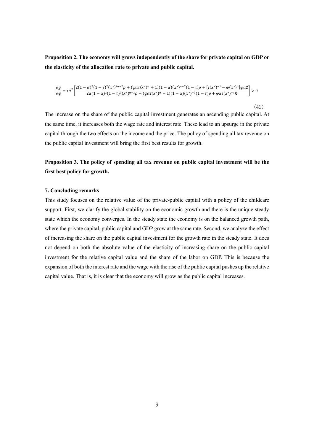**Proposition 2. The economy will grows independently of the share for private capital on GDP or the elasticity of the allocation rate to private and public capital.**

$$
\frac{\partial g}{\partial \varphi} = \tau \alpha^2 \left[ \frac{2(1-\alpha)^2 (1-\tau)^2 (x^*)^{2\alpha-2} \rho + (\varphi \alpha \tau (x^*)^{\alpha} + 1)(1-\alpha)(x^*)^{\alpha-2} (1-\tau) \rho + [\tau (x^*)^{-1} - \varphi (x^*)^{\alpha}] \varphi \alpha \varphi}{2\alpha (1-\alpha)^2 (1-\tau)^2 (x^*)^{\alpha-2} \rho + (\varphi \alpha \tau (x^*)^{\alpha} + 1)(1-\alpha)(x^*)^{-2} (1-\tau) \rho + \varphi \alpha \tau (x^*)^{-1} \varphi} \right] > 0
$$

(42)

The increase on the share of the public capital investment generates an ascending public capital. At the same time, it increases both the wage rate and interest rate. These lead to an upsurge in the private capital through the two effects on the income and the price. The policy of spending all tax revenue on the public capital investment will bring the first best results for growth.

## **Proposition 3. The policy of spending all tax revenue on public capital investment will be the first best policy for growth.**

#### **7. Concluding remarks**

This study focuses on the relative value of the private-public capital with a policy of the childcare support. First, we clarify the global stability on the economic growth and there is the unique steady state which the economy converges. In the steady state the economy is on the balanced growth path, where the private capital, public capital and GDP grow at the same rate. Second, we analyze the effect of increasing the share on the public capital investment for the growth rate in the steady state. It does not depend on both the absolute value of the elasticity of increasing share on the public capital investment for the relative capital value and the share of the labor on GDP. This is because the expansion of both the interest rate and the wage with the rise of the public capital pushes up the relative capital value. That is, it is clear that the economy will grow as the public capital increases.